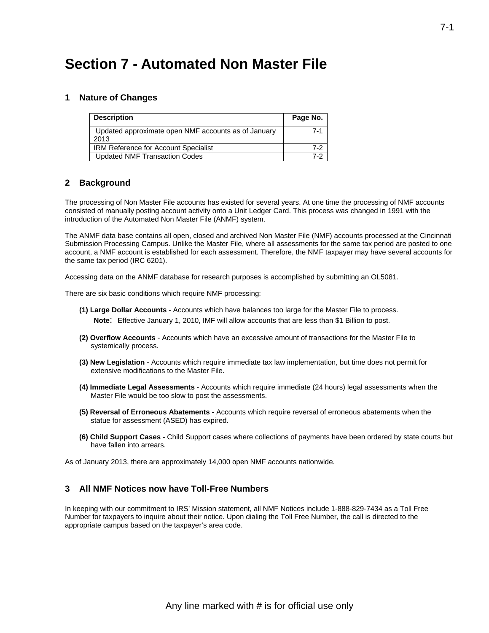# **Section 7 - Automated Non Master File**

#### **1 Nature of Changes**

| <b>Description</b>                                          | Page No. |
|-------------------------------------------------------------|----------|
| Updated approximate open NMF accounts as of January<br>2013 | 7-1      |
| <b>IRM Reference for Account Specialist</b>                 | 7-2      |
| <b>Updated NMF Transaction Codes</b>                        | 7-2      |

#### **2 Background**

The processing of Non Master File accounts has existed for several years. At one time the processing of NMF accounts consisted of manually posting account activity onto a Unit Ledger Card. This process was changed in 1991 with the introduction of the Automated Non Master File (ANMF) system.

The ANMF data base contains all open, closed and archived Non Master File (NMF) accounts processed at the Cincinnati Submission Processing Campus. Unlike the Master File, where all assessments for the same tax period are posted to one account, a NMF account is established for each assessment. Therefore, the NMF taxpayer may have several accounts for the same tax period (IRC 6201).

Accessing data on the ANMF database for research purposes is accomplished by submitting an OL5081.

There are six basic conditions which require NMF processing:

- **Note**: Effective January 1, 2010, IMF will allow accounts that are less than \$1 Billion to post. **(1) Large Dollar Accounts** - Accounts which have balances too large for the Master File to process.
	- **(2) Overflow Accounts** Accounts which have an excessive amount of transactions for the Master File to systemically process.
	- **(3) New Legislation** Accounts which require immediate tax law implementation, but time does not permit for extensive modifications to the Master File.
	- **(4) Immediate Legal Assessments** Accounts which require immediate (24 hours) legal assessments when the Master File would be too slow to post the assessments.
	- **(5) Reversal of Erroneous Abatements** Accounts which require reversal of erroneous abatements when the statue for assessment (ASED) has expired.
	- **(6) Child Support Cases** Child Support cases where collections of payments have been ordered by state courts but have fallen into arrears.

As of January 2013, there are approximately 14,000 open NMF accounts nationwide.

#### **3 All NMF Notices now have Toll-Free Numbers**

In keeping with our commitment to IRS' Mission statement, all NMF Notices include 1-888-829-7434 as a Toll Free Number for taxpayers to inquire about their notice. Upon dialing the Toll Free Number, the call is directed to the appropriate campus based on the taxpayer's area code.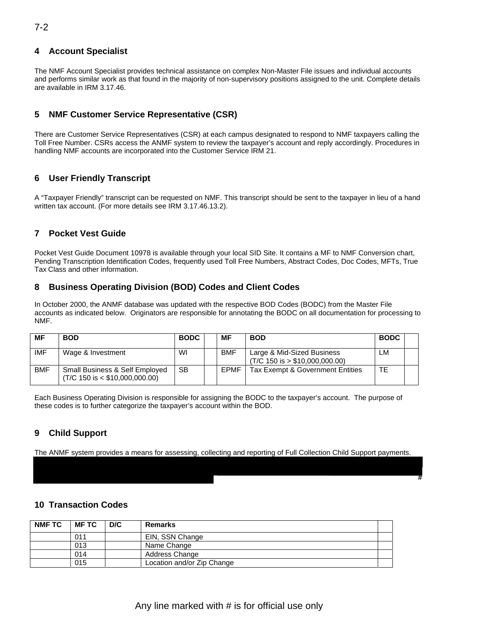## **4 Account Specialist**

The NMF Account Specialist provides technical assistance on complex Non-Master File issues and individual accounts and performs similar work as that found in the majority of non-supervisory positions assigned to the unit. Complete details are available in IRM 3.17.46.

## **5 NMF Customer Service Representative (CSR)**

There are Customer Service Representatives (CSR) at each campus designated to respond to NMF taxpayers calling the Toll Free Number. CSRs access the ANMF system to review the taxpayer's account and reply accordingly. Procedures in handling NMF accounts are incorporated into the Customer Service IRM 21.

### **6 User Friendly Transcript**

A "Taxpayer Friendly" transcript can be requested on NMF. This transcript should be sent to the taxpayer in lieu of a hand written tax account. (For more details see IRM 3.17.46.13.2).

#### **7 Pocket Vest Guide**

Pocket Vest Guide Document 10978 is available through your local SID Site. It contains a MF to NMF Conversion chart, Pending Transcription Identification Codes, frequently used Toll Free Numbers, Abstract Codes, Doc Codes, MFTs, True Tax Class and other information.

#### **8 Business Operating Division (BOD) Codes and Client Codes**

In October 2000, the ANMF database was updated with the respective BOD Codes (BODC) from the Master File accounts as indicated below. Originators are responsible for annotating the BODC on all documentation for processing to NMF.

| MF         | <b>BOD</b>                                                                      | <b>BODC</b> | ΜF          | <b>BOD</b>                                                      | <b>BODC</b> |  |
|------------|---------------------------------------------------------------------------------|-------------|-------------|-----------------------------------------------------------------|-------------|--|
| IMF        | Wage & Investment                                                               | WI          | <b>BMF</b>  | Large & Mid-Sized Business<br>$(T/C 150$ is $> $10,000,000.00)$ | LM          |  |
| <b>BMF</b> | <b>Small Business &amp; Self Employed</b><br>$(T/C 150$ is $<$ \$10,000,000.00) | SВ          | <b>EPMF</b> | Tax Exempt & Government Entities                                | TЕ          |  |

Each Business Operating Division is responsible for assigning the BODC to the taxpayer's account. The purpose of these codes is to further categorize the taxpayer's account within the BOD.

#### **9 Child Support**

The ANMF system provides a means for assessing, collecting and reporting of Full Collection Child Support payments.

٦

**#** 

#### **10 Transaction Codes**

| NMF TC | MF TC | D/C | <b>Remarks</b>             |  |
|--------|-------|-----|----------------------------|--|
|        | 011   |     | EIN, SSN Change            |  |
|        | 013   |     | Name Change                |  |
|        | 014   |     | Address Change             |  |
|        | 015   |     | Location and/or Zip Change |  |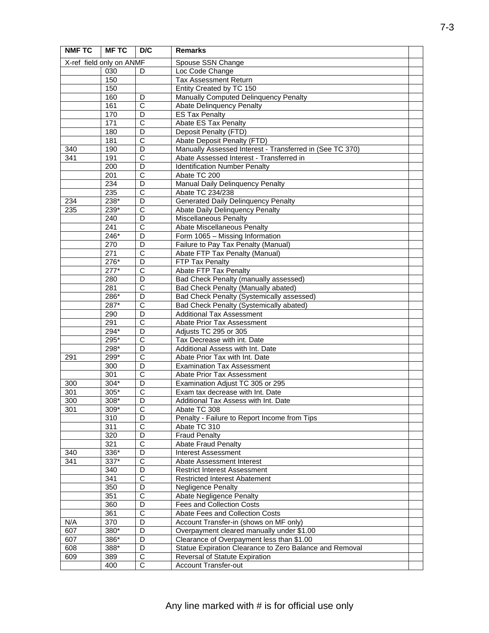| <b>NMF TC</b>            | <b>MFTC</b>  | D/C                        | <b>Remarks</b>                                                     |
|--------------------------|--------------|----------------------------|--------------------------------------------------------------------|
| X-ref field only on ANMF |              |                            | Spouse SSN Change                                                  |
|                          | 030          | D                          | Loc Code Change                                                    |
|                          | 150          |                            | <b>Tax Assessment Return</b>                                       |
|                          | 150          |                            | Entity Created by TC 150                                           |
|                          | 160          | D                          | Manually Computed Delinquency Penalty                              |
|                          | 161          | $\overline{C}$             | <b>Abate Delinquency Penalty</b>                                   |
|                          | 170          | D                          | <b>ES Tax Penalty</b>                                              |
|                          | 171          | $\overline{\text{c}}$      | <b>Abate ES Tax Penalty</b>                                        |
|                          | 180          | D                          | Deposit Penalty (FTD)                                              |
|                          | 181          | $\overline{\text{c}}$      | <b>Abate Deposit Penalty (FTD)</b>                                 |
| 340                      | 190          | D                          | Manually Assessed Interest - Transferred in (See TC 370)           |
| 341                      | 191          | $\overline{\text{c}}$      | Abate Assessed Interest - Transferred in                           |
|                          | 200          | D                          | <b>Identification Number Penalty</b>                               |
|                          | 201          | $\overline{\text{c}}$      | Abate TC 200                                                       |
|                          | 234          | D                          | Manual Daily Delinquency Penalty                                   |
|                          | 235          | $\overline{\text{c}}$      | Abate TC 234/238                                                   |
| 234                      | 238*         | D                          | <b>Generated Daily Delinquency Penalty</b>                         |
| 235                      | 239*         | $\overline{\text{c}}$      | <b>Abate Daily Delinquency Penalty</b>                             |
|                          | 240          | $\overline{D}$             | <b>Miscellaneous Penalty</b>                                       |
|                          | 241          | $\overline{\text{c}}$      | <b>Abate Miscellaneous Penalty</b>                                 |
|                          | 246*         | D                          | Form 1065 - Missing Information                                    |
|                          | 270          | D                          | Failure to Pay Tax Penalty (Manual)                                |
|                          | 271          | $\overline{\text{c}}$      | Abate FTP Tax Penalty (Manual)                                     |
|                          | 276*         | $\overline{D}$             | FTP Tax Penalty                                                    |
|                          | $277*$       | $\overline{\text{c}}$      | Abate FTP Tax Penalty                                              |
|                          | 280          | D                          | Bad Check Penalty (manually assessed)                              |
|                          | 281          | $\overline{\text{c}}$      | Bad Check Penalty (Manually abated)                                |
|                          | 286*         | D                          | Bad Check Penalty (Systemically assessed)                          |
|                          | 287*         | $\overline{\text{c}}$      | Bad Check Penalty (Systemically abated)                            |
|                          | 290          | D                          | <b>Additional Tax Assessment</b>                                   |
|                          | 291          | $\overline{\text{c}}$      | Abate Prior Tax Assessment                                         |
|                          | 294*         | D                          | Adjusts TC 295 or 305                                              |
|                          | 295*         | $\overline{\text{c}}$      |                                                                    |
|                          |              | D                          | Tax Decrease with int. Date                                        |
|                          | 298*<br>299* | $\overline{\text{c}}$      | Additional Assess with Int. Date<br>Abate Prior Tax with Int. Date |
| 291                      |              |                            |                                                                    |
|                          | 300          | D<br>$\overline{\text{c}}$ | <b>Examination Tax Assessment</b><br>Abate Prior Tax Assessment    |
|                          | 301          |                            |                                                                    |
| 300                      | $304*$       | D                          | Examination Adjust TC 305 or 295                                   |
| 301                      | 305*         | $\mathsf{C}$               | Exam tax decrease with Int. Date                                   |
| 300                      | $308*$       | $\overline{D}$             | Additional Tax Assess with Int. Date                               |
| 301                      | 309*         | $\mathsf C$                | Abate TC 308                                                       |
|                          | 310          | $\overline{D}$             | Penalty - Failure to Report Income from Tips                       |
|                          | 311          | С                          | Abate TC 310                                                       |
|                          | 320          | $\overline{D}$             | <b>Fraud Penalty</b>                                               |
|                          | 321          | $\overline{\text{c}}$      | <b>Abate Fraud Penalty</b>                                         |
| 340                      | $336*$       | $\overline{D}$             | <b>Interest Assessment</b>                                         |
| 341                      | 337*         | $\overline{C}$             | Abate Assessment Interest                                          |
|                          | 340          | D                          | <b>Restrict Interest Assessment</b>                                |
|                          | 341          | $\overline{\text{c}}$      | <b>Restricted Interest Abatement</b>                               |
|                          | 350          | $\overline{D}$             | <b>Negligence Penalty</b>                                          |
|                          | 351          | $\overline{\text{c}}$      | Abate Negligence Penalty                                           |
|                          | 360          | D                          | Fees and Collection Costs                                          |
|                          | 361          | $\overline{C}$             | Abate Fees and Collection Costs                                    |
| N/A                      | 370          | D                          | Account Transfer-in (shows on MF only)                             |
| 607                      | $380*$       | $\overline{D}$             | Overpayment cleared manually under \$1.00                          |
| 607                      | 386*         | D                          | Clearance of Overpayment less than \$1.00                          |
| 608                      | 388*         | $\overline{D}$             | Statue Expiration Clearance to Zero Balance and Removal            |
| 609                      | 389          | C                          | Reversal of Statute Expiration                                     |
|                          | 400          | $\overline{\text{c}}$      | <b>Account Transfer-out</b>                                        |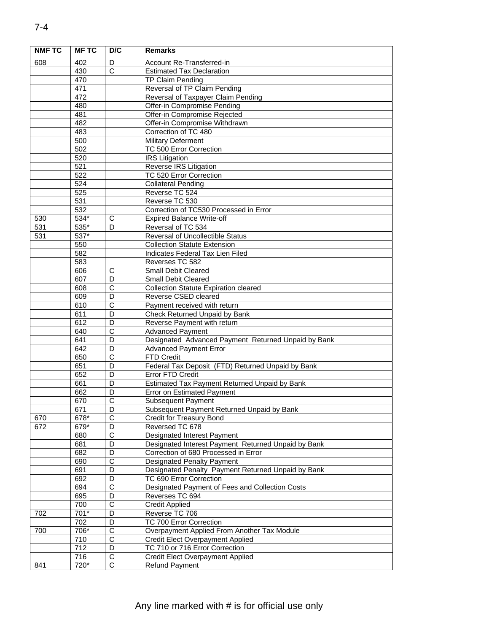| <b>NMF TC</b> | <b>MFTC</b>       | D/C                        | <b>Remarks</b>                                                          |  |
|---------------|-------------------|----------------------------|-------------------------------------------------------------------------|--|
| 608           | 402               | D                          | Account Re-Transferred-in                                               |  |
|               | 430               | $\mathsf{C}$               | <b>Estimated Tax Declaration</b>                                        |  |
|               | 470               |                            | TP Claim Pending                                                        |  |
|               | 471               |                            | Reversal of TP Claim Pending                                            |  |
|               | 472               |                            | Reversal of Taxpayer Claim Pending                                      |  |
|               | 480               |                            | Offer-in Compromise Pending                                             |  |
|               | 481               |                            | Offer-in Compromise Rejected                                            |  |
|               | 482               |                            | Offer-in Compromise Withdrawn                                           |  |
|               | 483               |                            | Correction of TC 480                                                    |  |
|               | 500               |                            | <b>Military Deferment</b>                                               |  |
|               | 502               |                            | TC 500 Error Correction                                                 |  |
|               | 520               |                            | <b>IRS</b> Litigation                                                   |  |
|               | 521               |                            | Reverse IRS Litigation                                                  |  |
|               | $\overline{522}$  |                            | TC 520 Error Correction                                                 |  |
|               | 524               |                            | <b>Collateral Pending</b>                                               |  |
|               | 525               |                            | Reverse TC 524                                                          |  |
|               | 531               |                            | Reverse TC 530                                                          |  |
|               | 532               |                            | Correction of TC530 Processed in Error                                  |  |
| 530           | 534*              | C<br>D                     | <b>Expired Balance Write-off</b>                                        |  |
| 531           | 535*              |                            | Reversal of TC 534                                                      |  |
| 531           | $\overline{537*}$ |                            | Reversal of Uncollectible Status                                        |  |
|               | 550<br>582        |                            | <b>Collection Statute Extension</b><br>Indicates Federal Tax Lien Filed |  |
|               | 583               |                            | Reverses TC 582                                                         |  |
|               | 606               | $\overline{C}$             | <b>Small Debit Cleared</b>                                              |  |
|               | 607               | D                          | <b>Small Debit Cleared</b>                                              |  |
|               | 608               | $\overline{C}$             | <b>Collection Statute Expiration cleared</b>                            |  |
|               | 609               | D                          | Reverse CSED cleared                                                    |  |
|               | 610               | $\overline{\text{c}}$      | Payment received with return                                            |  |
|               | 611               | $\overline{D}$             | Check Returned Unpaid by Bank                                           |  |
|               | 612               | D                          | Reverse Payment with return                                             |  |
|               | 640               | $\overline{C}$             | <b>Advanced Payment</b>                                                 |  |
|               | 641               | D                          | Designated Advanced Payment Returned Unpaid by Bank                     |  |
|               | 642               | D                          | <b>Advanced Payment Error</b>                                           |  |
|               | 650               | $\overline{\text{c}}$      | <b>FTD Credit</b>                                                       |  |
|               | 651               | D                          | Federal Tax Deposit (FTD) Returned Unpaid by Bank                       |  |
|               | 652               | $\overline{D}$             | Error FTD Credit                                                        |  |
|               | 661               | D                          | Estimated Tax Payment Returned Unpaid by Bank                           |  |
|               | 662               | D                          | Error on Estimated Payment                                              |  |
|               | 670               | $\overline{c}$             | Subsequent Payment                                                      |  |
|               | 671               | D                          | Subsequent Payment Returned Unpaid by Bank                              |  |
| 670           | $678*$            | $\overline{\text{c}}$      | Credit for Treasury Bond                                                |  |
| 672           | 679*              | D                          | Reversed TC 678                                                         |  |
|               | 680               | $\overline{C}$             | <b>Designated Interest Payment</b>                                      |  |
|               | 681               | D                          | Designated Interest Payment Returned Unpaid by Bank                     |  |
|               | 682               | D                          | Correction of 680 Processed in Error                                    |  |
|               | 690               | $\overline{\text{c}}$      | <b>Designated Penalty Payment</b>                                       |  |
|               | 691               | D                          | Designated Penalty Payment Returned Unpaid by Bank                      |  |
|               | 692               | D<br>$\overline{\text{c}}$ | TC 690 Error Correction                                                 |  |
|               | 694<br>695        | D                          | Designated Payment of Fees and Collection Costs<br>Reverses TC 694      |  |
|               | 700               | $\overline{\text{c}}$      | <b>Credit Applied</b>                                                   |  |
| 702           | $701*$            | D                          | Reverse TC 706                                                          |  |
|               | 702               | D                          | TC 700 Error Correction                                                 |  |
| 700           | 706*              | $\overline{C}$             | Overpayment Applied From Another Tax Module                             |  |
|               | 710               | $\overline{\text{c}}$      | Credit Elect Overpayment Applied                                        |  |
|               | $\overline{712}$  | $\overline{D}$             | TC 710 or 716 Error Correction                                          |  |
|               | 716               | $\overline{C}$             | <b>Credit Elect Overpayment Applied</b>                                 |  |
| 841           | 720*              | $\overline{C}$             | Refund Payment                                                          |  |
|               |                   |                            |                                                                         |  |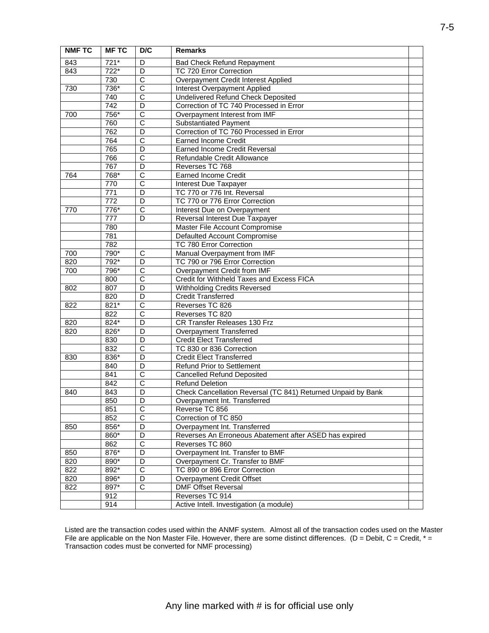| <b>NMFTC</b> | <b>MFTC</b>      | D/C                   | <b>Remarks</b>                                               |  |
|--------------|------------------|-----------------------|--------------------------------------------------------------|--|
| 843          | $721*$           | D                     | <b>Bad Check Refund Repayment</b>                            |  |
| 843          | 722*             | D                     | TC 720 Error Correction                                      |  |
|              | 730              | $\overline{C}$        | Overpayment Credit Interest Applied                          |  |
| 730          | 736*             | $\overline{\text{c}}$ | Interest Overpayment Applied                                 |  |
|              | 740              | $\overline{\text{c}}$ | Undelivered Refund Check Deposited                           |  |
|              | 742              | D                     | Correction of TC 740 Processed in Error                      |  |
| 700          | 756*             | С                     | Overpayment Interest from IMF                                |  |
|              | 760              | $\overline{C}$        | <b>Substantiated Payment</b>                                 |  |
|              | 762              | $\overline{D}$        | Correction of TC 760 Processed in Error                      |  |
|              | 764              | $\overline{\text{c}}$ | <b>Earned Income Credit</b>                                  |  |
|              | 765              | D                     | Earned Income Credit Reversal                                |  |
|              | 766              | C                     | Refundable Credit Allowance                                  |  |
|              | 767              | D                     | Reverses TC 768                                              |  |
| 764          | 768*             | $\overline{\text{c}}$ | <b>Earned Income Credit</b>                                  |  |
|              | 770              | $\overline{\text{c}}$ | Interest Due Taxpayer                                        |  |
|              | 771              | D                     | TC 770 or 776 Int. Reversal                                  |  |
|              | 772              | D                     | TC 770 or 776 Error Correction                               |  |
| 770          | $776*$           | C                     | Interest Due on Overpayment                                  |  |
|              | 777              | D                     | Reversal Interest Due Taxpayer                               |  |
|              | 780              |                       | Master File Account Compromise                               |  |
|              | 781              |                       | Defaulted Account Compromise                                 |  |
|              | 782              |                       | TC 780 Error Correction                                      |  |
| 700          | 790*             | С                     | Manual Overpayment from IMF                                  |  |
| 820          | 792*             | D                     | TC 790 or 796 Error Correction                               |  |
| 700          | 796*             | $\overline{\text{c}}$ | Overpayment Credit from IMF                                  |  |
|              | 800              | $\overline{\text{c}}$ | Credit for Withheld Taxes and Excess FICA                    |  |
| 802          | 807              | D                     | Withholding Credits Reversed                                 |  |
|              | 820              | D                     | <b>Credit Transferred</b>                                    |  |
| 822          | 821*             | $\overline{C}$        | Reverses TC 826                                              |  |
|              | $\overline{822}$ | $\overline{\text{c}}$ | Reverses TC 820                                              |  |
| 820          | 824*             | D                     | CR Transfer Releases 130 Frz                                 |  |
| 820          | $826*$           | $\overline{D}$        | Overpayment Transferred                                      |  |
|              | 830              | D                     | <b>Credit Elect Transferred</b>                              |  |
|              | 832              | $\overline{\text{c}}$ | TC 830 or 836 Correction                                     |  |
| 830          | 836*             | D                     | <b>Credit Elect Transferred</b>                              |  |
|              | 840              | D                     | <b>Refund Prior to Settlement</b>                            |  |
|              | 841              | $\overline{\text{c}}$ | <b>Cancelled Refund Deposited</b>                            |  |
|              | 842              | C                     | <b>Refund Deletion</b>                                       |  |
| 840          | 843              | D                     | Check Cancellation Reversal (TC 841) Returned Unpaid by Bank |  |
|              | 850              | D                     | Overpayment Int. Transferred                                 |  |
|              | 851              | C                     | Reverse TC 856                                               |  |
|              | 852              | $\overline{C}$        | Correction of TC 850                                         |  |
| 850          | 856*             | D                     | Overpayment Int. Transferred                                 |  |
|              | 860*             | D                     | Reverses An Erroneous Abatement after ASED has expired       |  |
|              | 862              | $\overline{\text{c}}$ | Reverses TC 860                                              |  |
| 850          | 876*             | D                     | Overpayment Int. Transfer to BMF                             |  |
| 820          | 890*             | D                     | Overpayment Cr. Transfer to BMF                              |  |
| 822          | 892*             | $\overline{C}$        | TC 890 or 896 Error Correction                               |  |
| 820          | 896*             | D                     | Overpayment Credit Offset                                    |  |
| 822          | 897*             | $\overline{C}$        | <b>DMF Offset Reversal</b>                                   |  |
|              | 912              |                       | Reverses TC 914                                              |  |
|              | 914              |                       | Active Intell. Investigation (a module)                      |  |

File are applicable on the Non Master File. However, there are some distinct differences. ( $D =$  Debit,  $C =$  Credit,  $* =$ Listed are the transaction codes used within the ANMF system. Almost all of the transaction codes used on the Master Transaction codes must be converted for NMF processing)